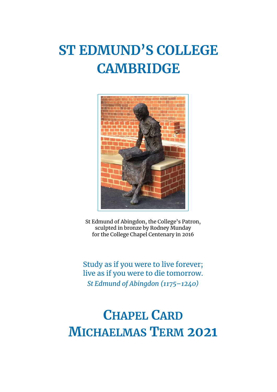# **ST EDMUND'S COLLEGE CAMBRIDGE**



St Edmund of Abingdon, the College's Patron, sculpted in bronze by Rodney Munday for the College Chapel Centenary in 2016

Study as if you were to live forever; live as if you were to die tomorrow. *St Edmund of Abingdon (1175–1240)*

## **CHAPEL CARD MICHAELMAS TERM 2021**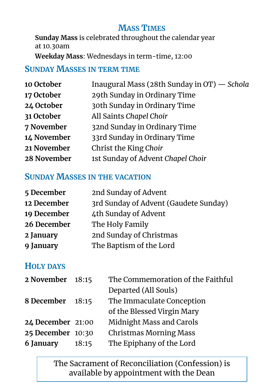## **MASS TIMES**

**Sunday Mass** is celebrated throughout the calendar year at 10.30am

**Weekday Mass**: Wednesdays in term-time, 12:00

#### **SUNDAY MASSES IN TERM TIME**

| Inaugural Mass (28th Sunday in OT) - Schola |
|---------------------------------------------|
| 29th Sunday in Ordinary Time                |
| 30th Sunday in Ordinary Time                |
| All Saints Chapel Choir                     |
| 32nd Sunday in Ordinary Time                |
| 33rd Sunday in Ordinary Time                |
| Christ the King Choir                       |
| 1st Sunday of Advent Chapel Choir           |
|                                             |

#### **SUNDAY MASSES IN THE VACATION**

| 2nd Sunday of Advent                  |
|---------------------------------------|
| 3rd Sunday of Advent (Gaudete Sunday) |
| 4th Sunday of Advent                  |
| The Holy Family                       |
| 2nd Sunday of Christmas               |
| The Baptism of the Lord               |
|                                       |

#### **HOLY DAYS**

| 2 November 18:15         | The Commemoration of the Faithful |
|--------------------------|-----------------------------------|
|                          | Departed (All Souls)              |
| 8 December<br>18:15      | The Immaculate Conception         |
|                          | of the Blessed Virgin Mary        |
| <b>24 December 21:00</b> | <b>Midnight Mass and Carols</b>   |
| 25 December 10:30        | <b>Christmas Morning Mass</b>     |
| 18:15                    | The Epiphany of the Lord          |
|                          |                                   |

The Sacrament of Reconciliation (Confession) is available by appointment with the Dean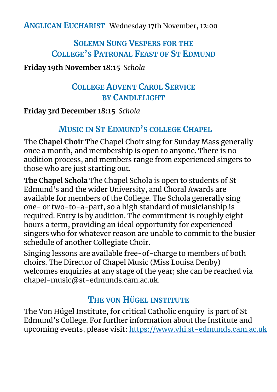**ANGLICAN EUCHARIST** Wednesday 17th November, 12:00

## **SOLEMN SUNG VESPERS FOR THE COLLEGE'S PATRONAL FEAST OF ST EDMUND**

#### **Friday 19th November 18:15** *Schola*

## **COLLEGE ADVENT CAROL SERVICE BY CANDLELIGHT**

#### **Friday 3rd December 18:15** *Schola*

## **MUSIC IN ST EDMUND'S COLLEGE CHAPEL**

The **Chapel Choir** The Chapel Choir sing for Sunday Mass generally once a month, and membership is open to anyone. There is no audition process, and members range from experienced singers to those who are just starting out.

**The Chapel Schola** The Chapel Schola is open to students of St Edmund's and the wider University, and Choral Awards are available for members of the College. The Schola generally sing one- or two-to-a-part, so a high standard of musicianship is required. Entry is by audition. The commitment is roughly eight hours a term, providing an ideal opportunity for experienced singers who for whatever reason are unable to commit to the busier schedule of another Collegiate Choir.

Singing lessons are available free-of-charge to members of both choirs. The Director of Chapel Music (Miss Louisa Denby) welcomes enquiries at any stage of the year; she can be reached via chapel-music@st-edmunds.cam.ac.uk.

## **THE VON HÜGEL INSTITUTE**

The Von Hügel Institute, for critical Catholic enquiry is part of St Edmund's College. For further information about the Institute and upcoming events, please visit: <https://www.vhi.st-edmunds.cam.ac.uk>